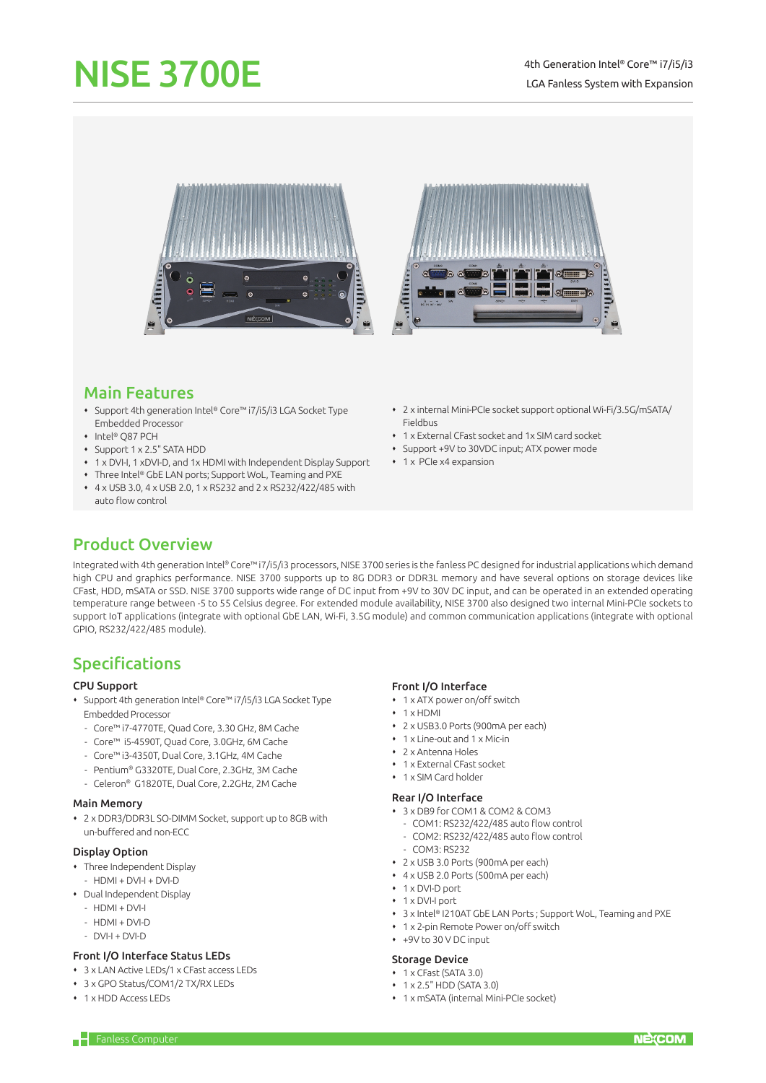# NISE 3700E



## Main Features

- Support 4th generation Intel® Core™ i7/i5/i3 LGA Socket Type Embedded Processor
- ◆ Intel® O87 PCH
- Support 1 x 2.5" SATA HDD
- 1 x DVI-I, 1 xDVI-D, and 1x HDMI with Independent Display Support
- Three Intel® GbE LAN ports; Support WoL, Teaming and PXE
- 4 x USB 3.0, 4 x USB 2.0, 1 x RS232 and 2 x RS232/422/485 with auto flow control
- 2 x internal Mini-PCIe socket support optional Wi-Fi/3.5G/mSATA/ Fieldbus
- 1 x External CFast socket and 1x SIM card socket
- Support +9V to 30VDC input; ATX power mode
- 1 x PCIe x4 expansion

## Product Overview

Integrated with 4th generation Intel® Core™ i7/i5/i3 processors, NISE 3700 series is the fanless PC designed for industrial applications which demand high CPU and graphics performance. NISE 3700 supports up to 8G DDR3 or DDR3L memory and have several options on storage devices like CFast, HDD, mSATA or SSD. NISE 3700 supports wide range of DC input from +9V to 30V DC input, and can be operated in an extended operating temperature range between -5 to 55 Celsius degree. For extended module availability, NISE 3700 also designed two internal Mini-PCIe sockets to support IoT applications (integrate with optional GbE LAN, Wi-Fi, 3.5G module) and common communication applications (integrate with optional GPIO, RS232/422/485 module).

# Specifications

#### CPU Support

- Support 4th generation Intel® Core™ i7/i5/i3 LGA Socket Type Embedded Processor
	- Core™ i7-4770TE, Quad Core, 3.30 GHz, 8M Cache
	- Core™ i5-4590T, Quad Core, 3.0GHz, 6M Cache
	- Core™ i3-4350T, Dual Core, 3.1GHz, 4M Cache
	- Pentium® G3320TE, Dual Core, 2.3GHz, 3M Cache
	- Celeron® G1820TE, Dual Core, 2.2GHz, 2M Cache

#### Main Memory

 2 x DDR3/DDR3L SO-DIMM Socket, support up to 8GB with un-buffered and non-ECC

#### Display Option

- Three Independent Display
- $-$  HDMI + DVI-I + DVI-D
- Dual Independent Display
	- $-$  HDMI + DVI-I
	- $-$  HDMI + DVI-D
	- DVI-I + DVI-D

#### Front I/O Interface Status LEDs

- 3 x LAN Active LEDs/1 x CFast access LEDs
- 3 x GPO Status/COM1/2 TX/RX LEDs
- 1 x HDD Access LEDs

#### Front I/O Interface

- 1 x ATX power on/off switch
- $+ 1$  x HDMI
- 2 x USB3.0 Ports (900mA per each)
- 1 x Line-out and 1 x Mic-in
- 2 x Antenna Holes
- 1 x External CFast socket
- 1 x SIM Card holder

#### Rear I/O Interface

- 3 x DB9 for COM1 & COM2 & COM3
- COM1: RS232/422/485 auto flow control
- COM2: RS232/422/485 auto flow control
- COM3: RS232
- 2 x USB 3.0 Ports (900mA per each)
- 4 x USB 2.0 Ports (500mA per each)
- 1 x DVI-D port
- 1 x DVI-I port
- 3 x Intel® I210AT GbE LAN Ports ; Support WoL, Teaming and PXE
- 1 x 2-pin Remote Power on/off switch
- $+9V$  to 30 V DC input

#### Storage Device

- 1 x CFast (SATA 3.0)
- $+ 1 \times 2.5$ " HDD (SATA 3.0)
- 1 x mSATA (internal Mini-PCIe socket)